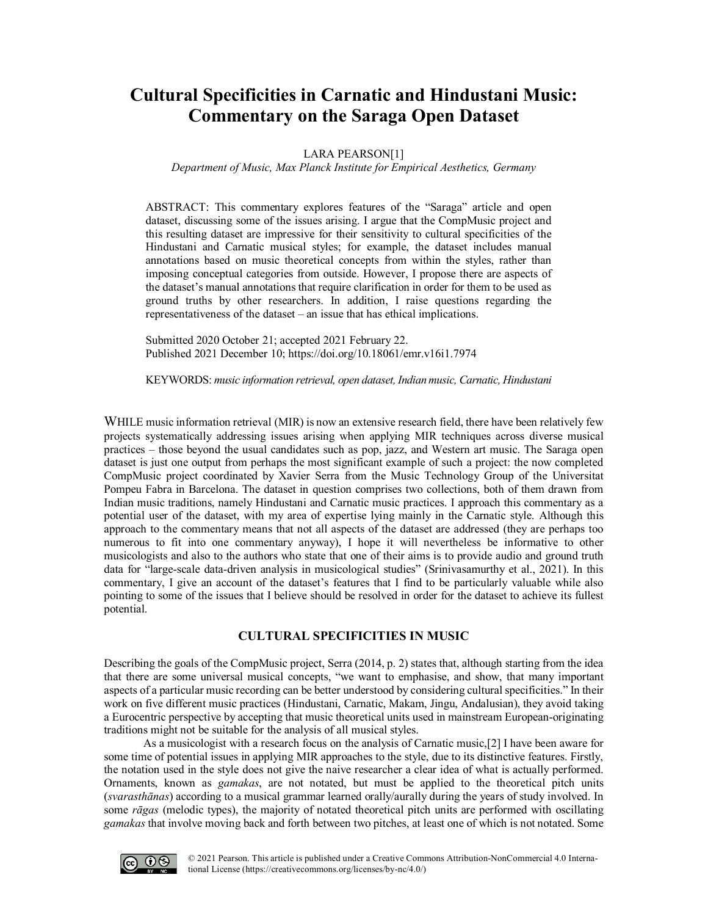# **Cultural Specificities in Carnatic and Hindustani Music: Commentary on the Saraga Open Dataset**

LARA PEARSON[1]

*Department of Music, Max Planck Institute for Empirical Aesthetics, Germany*

ABSTRACT: This commentary explores features of the "Saraga" article and open dataset, discussing some of the issues arising. I argue that the CompMusic project and this resulting dataset are impressive for their sensitivity to cultural specificities of the Hindustani and Carnatic musical styles; for example, the dataset includes manual annotations based on music theoretical concepts from within the styles, rather than imposing conceptual categories from outside. However, I propose there are aspects of the dataset's manual annotations that require clarification in order for them to be used as ground truths by other researchers. In addition, I raise questions regarding the representativeness of the dataset – an issue that has ethical implications.

Submitted 2020 October 21; accepted 2021 February 22. Published 2021 Decembe[r 10; https://doi.org/10.18061/emr.v16i1.797](https://doi.org/10.18061/emr.v16i1.7974)4

KEYWORDS: *music information retrieval, open dataset, Indian music, Carnatic, Hindustani*

WHILE music information retrieval (MIR) is now an extensive research field, there have been relatively few projects systematically addressing issues arising when applying MIR techniques across diverse musical practices – those beyond the usual candidates such as pop, jazz, and Western art music. The Saraga open dataset is just one output from perhaps the most significant example of such a project: the now completed CompMusic project coordinated by Xavier Serra from the Music Technology Group of the Universitat Pompeu Fabra in Barcelona. The dataset in question comprises two collections, both of them drawn from Indian music traditions, namely Hindustani and Carnatic music practices. I approach this commentary as a potential user of the dataset, with my area of expertise lying mainly in the Carnatic style. Although this approach to the commentary means that not all aspects of the dataset are addressed (they are perhaps too numerous to fit into one commentary anyway), I hope it will nevertheless be informative to other musicologists and also to the authors who state that one of their aims is to provide audio and ground truth data for "large-scale data-driven analysis in musicological studies" (Srinivasamurthy et al., 2021). In this commentary, I give an account of the dataset's features that I find to be particularly valuable while also pointing to some of the issues that I believe should be resolved in order for the dataset to achieve its fullest potential.

# **CULTURAL SPECIFICITIES IN MUSIC**

Describing the goals of the CompMusic project, Serra (2014, p. 2) states that, although starting from the idea that there are some universal musical concepts, "we want to emphasise, and show, that many important aspects of a particular music recording can be better understood by considering cultural specificities." In their work on five different music practices (Hindustani, Carnatic, Makam, Jingu, Andalusian), they avoid taking a Eurocentric perspective by accepting that music theoretical units used in mainstream European-originating traditions might not be suitable for the analysis of all musical styles.

As a musicologist with a research focus on the analysis of Carnatic music,[2] I have been aware for some time of potential issues in applying MIR approaches to the style, due to its distinctive features. Firstly, the notation used in the style does not give the naive researcher a clear idea of what is actually performed. Ornaments, known as *gamakas*, are not notated, but must be applied to the theoretical pitch units (*svarasthānas*) according to a musical grammar learned orally/aurally during the years of study involved. In some *rāgas* (melodic types), the majority of notated theoretical pitch units are performed with oscillating *gamakas* that involve moving back and forth between two pitches, at least one of which is not notated. Some

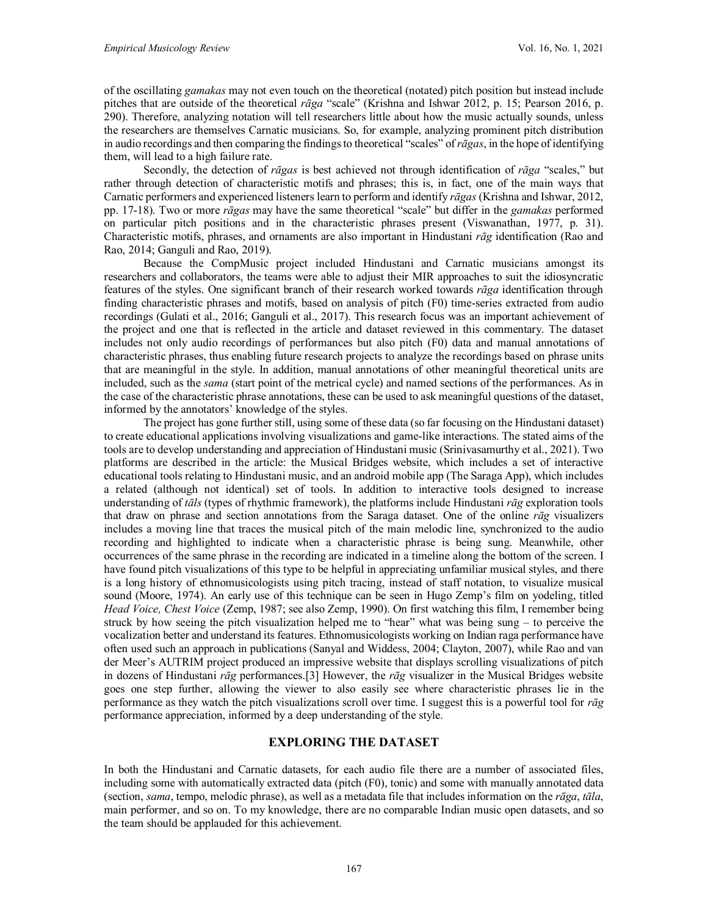of the oscillating *gamakas* may not even touch on the theoretical (notated) pitch position but instead include pitches that are outside of the theoretical *rāga* "scale" (Krishna and Ishwar 2012, p. 15; Pearson 2016, p. 290). Therefore, analyzing notation will tell researchers little about how the music actually sounds, unless the researchers are themselves Carnatic musicians. So, for example, analyzing prominent pitch distribution in audio recordings and then comparing the findings to theoretical "scales" of *rāgas*, in the hope of identifying them, will lead to a high failure rate.

Secondly, the detection of *rāgas* is best achieved not through identification of *rāga* "scales," but rather through detection of characteristic motifs and phrases; this is, in fact, one of the main ways that Carnatic performers and experienced listeners learn to perform and identify *rāgas* (Krishna and Ishwar, 2012, pp. 17-18). Two or more *rāgas* may have the same theoretical "scale" but differ in the *gamakas* performed on particular pitch positions and in the characteristic phrases present (Viswanathan, 1977, p. 31). Characteristic motifs, phrases, and ornaments are also important in Hindustani *rāg* identification (Rao and Rao, 2014; Ganguli and Rao, 2019).

Because the CompMusic project included Hindustani and Carnatic musicians amongst its researchers and collaborators, the teams were able to adjust their MIR approaches to suit the idiosyncratic features of the styles. One significant branch of their research worked towards *rāga* identification through finding characteristic phrases and motifs, based on analysis of pitch (F0) time-series extracted from audio recordings (Gulati et al., 2016; Ganguli et al., 2017). This research focus was an important achievement of the project and one that is reflected in the article and dataset reviewed in this commentary. The dataset includes not only audio recordings of performances but also pitch (F0) data and manual annotations of characteristic phrases, thus enabling future research projects to analyze the recordings based on phrase units that are meaningful in the style. In addition, manual annotations of other meaningful theoretical units are included, such as the *sama* (start point of the metrical cycle) and named sections of the performances. As in the case of the characteristic phrase annotations, these can be used to ask meaningful questions of the dataset, informed by the annotators' knowledge of the styles.

The project has gone further still, using some of these data (so far focusing on the Hindustani dataset) to create educational applications involving visualizations and game-like interactions. The stated aims of the tools are to develop understanding and appreciation of Hindustani music (Srinivasamurthy et al., 2021). Two platforms are described in the article: the Musical Bridges website, which includes a set of interactive educational tools relating to Hindustani music, and an android mobile app (The Saraga App), which includes a related (although not identical) set of tools. In addition to interactive tools designed to increase understanding of *tāls* (types of rhythmic framework), the platforms include Hindustani *rāg* exploration tools that draw on phrase and section annotations from the Saraga dataset. One of the online *rāg* visualizers includes a moving line that traces the musical pitch of the main melodic line, synchronized to the audio recording and highlighted to indicate when a characteristic phrase is being sung. Meanwhile, other occurrences of the same phrase in the recording are indicated in a timeline along the bottom of the screen. I have found pitch visualizations of this type to be helpful in appreciating unfamiliar musical styles, and there is a long history of ethnomusicologists using pitch tracing, instead of staff notation, to visualize musical sound (Moore, 1974). An early use of this technique can be seen in Hugo Zemp's film on yodeling, titled *Head Voice, Chest Voice* (Zemp, 1987; see also Zemp, 1990). On first watching this film, I remember being struck by how seeing the pitch visualization helped me to "hear" what was being sung – to perceive the vocalization better and understand its features. Ethnomusicologists working on Indian raga performance have often used such an approach in publications (Sanyal and Widdess, 2004; Clayton, 2007), while Rao and van der Meer's AUTRIM project produced an impressive website that displays scrolling visualizations of pitch in dozens of Hindustani *rāg* performances.[3] However, the *rāg* visualizer in the Musical Bridges website goes one step further, allowing the viewer to also easily see where characteristic phrases lie in the performance as they watch the pitch visualizations scroll over time. I suggest this is a powerful tool for *rāg*  performance appreciation, informed by a deep understanding of the style.

#### **EXPLORING THE DATASET**

In both the Hindustani and Carnatic datasets, for each audio file there are a number of associated files, including some with automatically extracted data (pitch (F0), tonic) and some with manually annotated data (section, *sama*, tempo, melodic phrase), as well as a metadata file that includes information on the *rāga*, *tāla*, main performer, and so on. To my knowledge, there are no comparable Indian music open datasets, and so the team should be applauded for this achievement.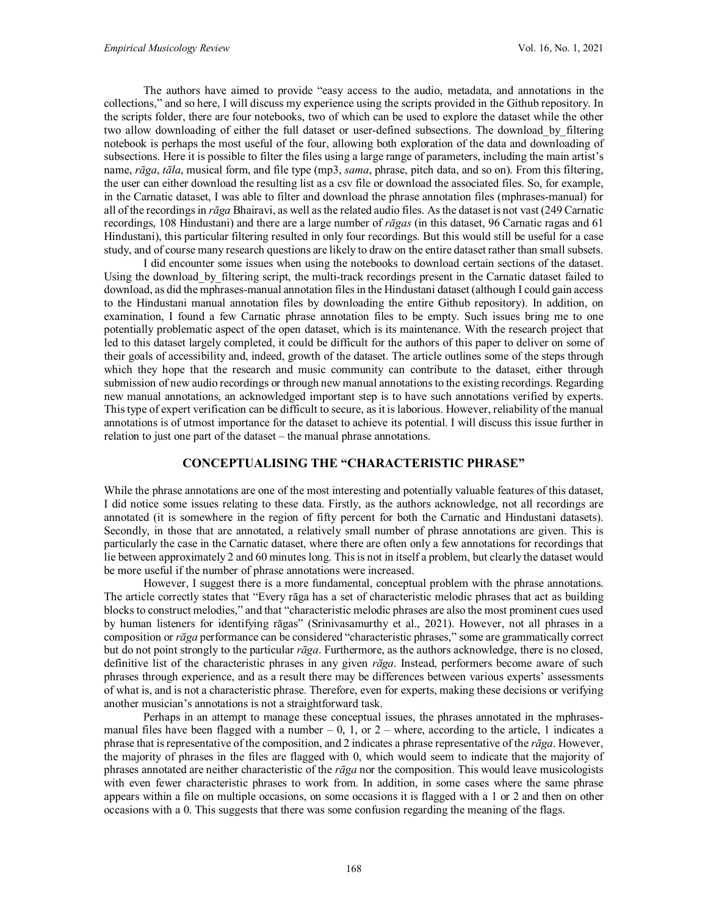The authors have aimed to provide "easy access to the audio, metadata, and annotations in the collections," and so here, I will discuss my experience using the scripts provided in the Github repository. In the scripts folder, there are four notebooks, two of which can be used to explore the dataset while the other two allow downloading of either the full dataset or user-defined subsections. The download by filtering notebook is perhaps the most useful of the four, allowing both exploration of the data and downloading of subsections. Here it is possible to filter the files using a large range of parameters, including the main artist's name, *rāga*, *tāla*, musical form, and file type (mp3, *sama*, phrase, pitch data, and so on). From this filtering, the user can either download the resulting list as a csv file or download the associated files. So, for example, in the Carnatic dataset, I was able to filter and download the phrase annotation files (mphrases-manual) for all of the recordings in *rāga* Bhairavi, as well as the related audio files. As the dataset is not vast (249 Carnatic recordings, 108 Hindustani) and there are a large number of *rāgas* (in this dataset, 96 Carnatic ragas and 61 Hindustani), this particular filtering resulted in only four recordings. But this would still be useful for a case study, and of course many research questions are likely to draw on the entire dataset rather than small subsets.

I did encounter some issues when using the notebooks to download certain sections of the dataset. Using the download by filtering script, the multi-track recordings present in the Carnatic dataset failed to download, as did the mphrases-manual annotation files in the Hindustani dataset (although I could gain access to the Hindustani manual annotation files by downloading the entire Github repository). In addition, on examination, I found a few Carnatic phrase annotation files to be empty. Such issues bring me to one potentially problematic aspect of the open dataset, which is its maintenance. With the research project that led to this dataset largely completed, it could be difficult for the authors of this paper to deliver on some of their goals of accessibility and, indeed, growth of the dataset. The article outlines some of the steps through which they hope that the research and music community can contribute to the dataset, either through submission of new audio recordings or through new manual annotations to the existing recordings. Regarding new manual annotations, an acknowledged important step is to have such annotations verified by experts. This type of expert verification can be difficult to secure, as it is laborious. However, reliability of the manual annotations is of utmost importance for the dataset to achieve its potential. I will discuss this issue further in relation to just one part of the dataset – the manual phrase annotations.

#### **CONCEPTUALISING THE "CHARACTERISTIC PHRASE"**

While the phrase annotations are one of the most interesting and potentially valuable features of this dataset, I did notice some issues relating to these data. Firstly, as the authors acknowledge, not all recordings are annotated (it is somewhere in the region of fifty percent for both the Carnatic and Hindustani datasets). Secondly, in those that are annotated, a relatively small number of phrase annotations are given. This is particularly the case in the Carnatic dataset, where there are often only a few annotations for recordings that lie between approximately 2 and 60 minutes long. This is not in itself a problem, but clearly the dataset would be more useful if the number of phrase annotations were increased.

However, I suggest there is a more fundamental, conceptual problem with the phrase annotations. The article correctly states that "Every rāga has a set of characteristic melodic phrases that act as building blocks to construct melodies," and that "characteristic melodic phrases are also the most prominent cues used by human listeners for identifying rāgas" (Srinivasamurthy et al., 2021). However, not all phrases in a composition or *rāga* performance can be considered "characteristic phrases," some are grammatically correct but do not point strongly to the particular *rāga*. Furthermore, as the authors acknowledge, there is no closed, definitive list of the characteristic phrases in any given *rāga*. Instead, performers become aware of such phrases through experience, and as a result there may be differences between various experts' assessments of what is, and is not a characteristic phrase. Therefore, even for experts, making these decisions or verifying another musician's annotations is not a straightforward task.

Perhaps in an attempt to manage these conceptual issues, the phrases annotated in the mphrasesmanual files have been flagged with a number  $-0$ , 1, or  $2$  – where, according to the article, 1 indicates a phrase that is representative of the composition, and 2 indicates a phrase representative of the *rāga*. However, the majority of phrases in the files are flagged with 0, which would seem to indicate that the majority of phrases annotated are neither characteristic of the *rāga* nor the composition. This would leave musicologists with even fewer characteristic phrases to work from. In addition, in some cases where the same phrase appears within a file on multiple occasions, on some occasions it is flagged with a 1 or 2 and then on other occasions with a 0. This suggests that there was some confusion regarding the meaning of the flags.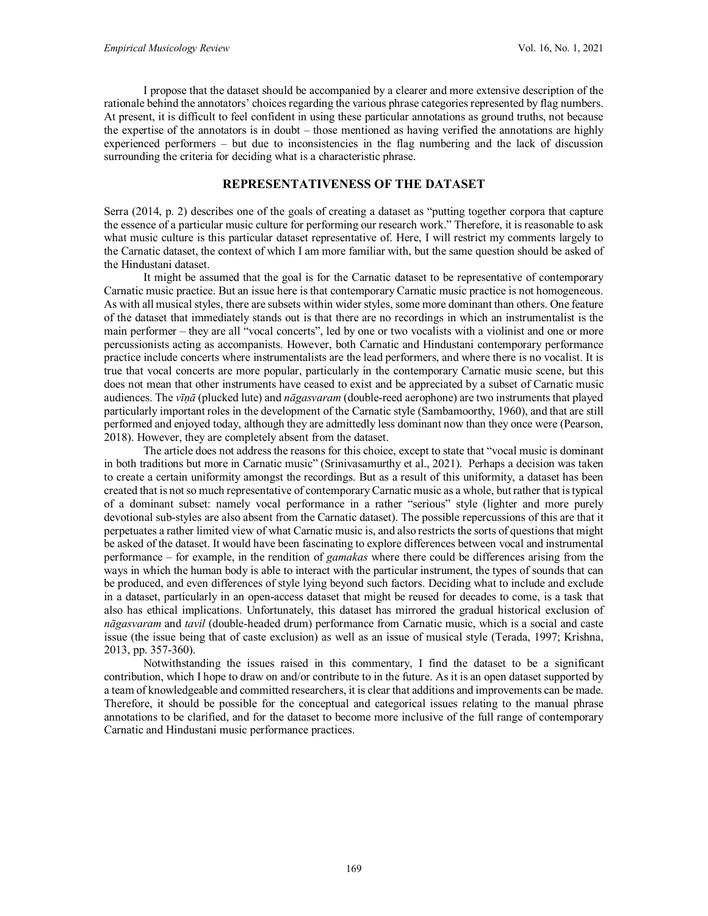I propose that the dataset should be accompanied by a clearer and more extensive description of the rationale behind the annotators' choices regarding the various phrase categories represented by flag numbers. At present, it is difficult to feel confident in using these particular annotations as ground truths, not because the expertise of the annotators is in doubt – those mentioned as having verified the annotations are highly experienced performers – but due to inconsistencies in the flag numbering and the lack of discussion surrounding the criteria for deciding what is a characteristic phrase.

# **REPRESENTATIVENESS OF THE DATASET**

Serra (2014, p. 2) describes one of the goals of creating a dataset as "putting together corpora that capture the essence of a particular music culture for performing our research work." Therefore, it is reasonable to ask what music culture is this particular dataset representative of. Here, I will restrict my comments largely to the Carnatic dataset, the context of which I am more familiar with, but the same question should be asked of the Hindustani dataset.

It might be assumed that the goal is for the Carnatic dataset to be representative of contemporary Carnatic music practice. But an issue here is that contemporary Carnatic music practice is not homogeneous. As with all musical styles, there are subsets within wider styles, some more dominant than others. One feature of the dataset that immediately stands out is that there are no recordings in which an instrumentalist is the main performer – they are all "vocal concerts", led by one or two vocalists with a violinist and one or more percussionists acting as accompanists. However, both Carnatic and Hindustani contemporary performance practice include concerts where instrumentalists are the lead performers, and where there is no vocalist. It is true that vocal concerts are more popular, particularly in the contemporary Carnatic music scene, but this does not mean that other instruments have ceased to exist and be appreciated by a subset of Carnatic music audiences. The *vīṇā* (plucked lute) and *nāgasvaram* (double-reed aerophone) are two instruments that played particularly important roles in the development of the Carnatic style (Sambamoorthy, 1960), and that are still performed and enjoyed today, although they are admittedly less dominant now than they once were (Pearson, 2018). However, they are completely absent from the dataset.

The article does not address the reasons for this choice, except to state that "vocal music is dominant in both traditions but more in Carnatic music" (Srinivasamurthy et al., 2021). Perhaps a decision was taken to create a certain uniformity amongst the recordings. But as a result of this uniformity, a dataset has been created that is not so much representative of contemporary Carnatic music as a whole, but rather that is typical of a dominant subset: namely vocal performance in a rather "serious" style (lighter and more purely devotional sub-styles are also absent from the Carnatic dataset). The possible repercussions of this are that it perpetuates a rather limited view of what Carnatic music is, and also restricts the sorts of questions that might be asked of the dataset. It would have been fascinating to explore differences between vocal and instrumental performance – for example, in the rendition of *gamakas* where there could be differences arising from the ways in which the human body is able to interact with the particular instrument, the types of sounds that can be produced, and even differences of style lying beyond such factors. Deciding what to include and exclude in a dataset, particularly in an open-access dataset that might be reused for decades to come, is a task that also has ethical implications. Unfortunately, this dataset has mirrored the gradual historical exclusion of *nāgasvaram* and *tavil* (double-headed drum) performance from Carnatic music, which is a social and caste issue (the issue being that of caste exclusion) as well as an issue of musical style (Terada, 1997; Krishna, 2013, pp. 357-360).

Notwithstanding the issues raised in this commentary, I find the dataset to be a significant contribution, which I hope to draw on and/or contribute to in the future. As it is an open dataset supported by a team of knowledgeable and committed researchers, it is clear that additions and improvements can be made. Therefore, it should be possible for the conceptual and categorical issues relating to the manual phrase annotations to be clarified, and for the dataset to become more inclusive of the full range of contemporary Carnatic and Hindustani music performance practices.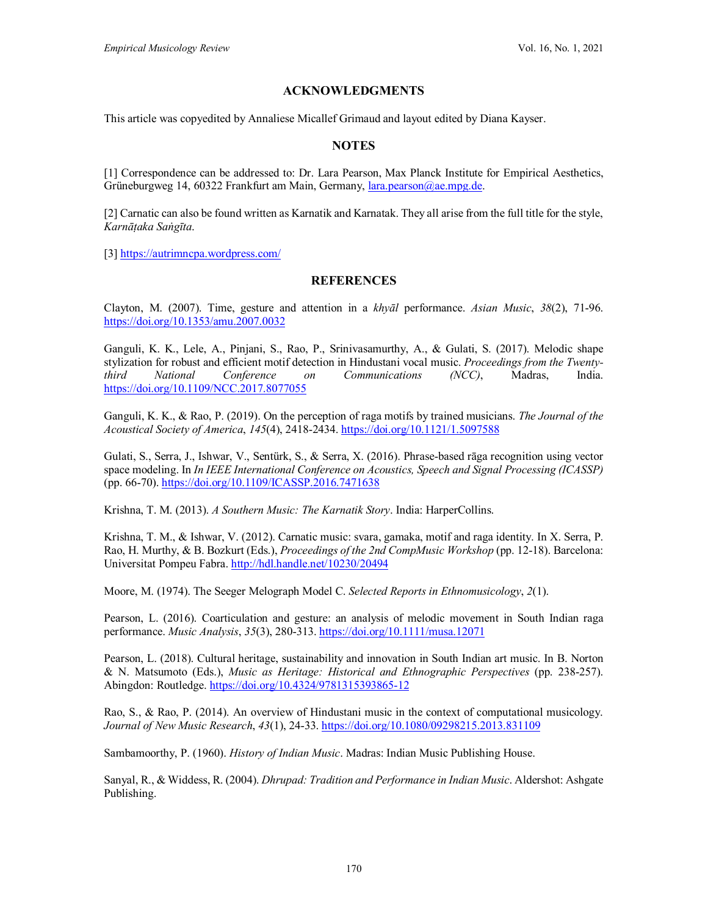# **ACKNOWLEDGMENTS**

This article was copyedited by Annaliese Micallef Grimaud and layout edited by Diana Kayser.

### **NOTES**

[1] Correspondence can be addressed to: Dr. Lara Pearson, Max Planck Institute for Empirical Aesthetics, Grüneburgweg 14, 60322 Frankfurt am Main, Germany, [lara.pearson@ae.mpg.de.](mailto:lara.pearson@ae.mpg.de)

[2] Carnatic can also be found written as Karnatik and Karnatak. They all arise from the full title for the style, *Karnāṭaka Saṅgīta*.

[3]<https://autrimncpa.wordpress.com/>

#### **REFERENCES**

Clayton, M. (2007). Time, gesture and attention in a *khyāl* performance. *Asian Music*, *38*(2), 71-96. <https://doi.org/10.1353/amu.2007.0032>

Ganguli, K. K., Lele, A., Pinjani, S., Rao, P., Srinivasamurthy, A., & Gulati, S. (2017). Melodic shape stylization for robust and efficient motif detection in Hindustani vocal music. *Proceedings from the Twentythird National Conference on Communications (NCC)*, Madras, India. <https://doi.org/10.1109/NCC.2017.8077055>

Ganguli, K. K., & Rao, P. (2019). On the perception of raga motifs by trained musicians. *The Journal of the Acoustical Society of America*, *145*(4), 2418-2434.<https://doi.org/10.1121/1.5097588>

Gulati, S., Serra, J., Ishwar, V., Sentürk, S., & Serra, X. (2016). Phrase-based rāga recognition using vector space modeling. In *In IEEE International Conference on Acoustics, Speech and Signal Processing (ICASSP)* (pp. 66-70).<https://doi.org/10.1109/ICASSP.2016.7471638>

Krishna, T. M. (2013). *A Southern Music: The Karnatik Story*. India: HarperCollins.

Krishna, T. M., & Ishwar, V. (2012). Carnatic music: svara, gamaka, motif and raga identity. In X. Serra, P. Rao, H. Murthy, & B. Bozkurt (Eds.), *Proceedings of the 2nd CompMusic Workshop* (pp. 12-18). Barcelona: Universitat Pompeu Fabra. <http://hdl.handle.net/10230/20494>

Moore, M. (1974). The Seeger Melograph Model C. *Selected Reports in Ethnomusicology*, *2*(1).

Pearson, L. (2016). Coarticulation and gesture: an analysis of melodic movement in South Indian raga performance. *Music Analysis*, *35*(3), 280-313.<https://doi.org/10.1111/musa.12071>

Pearson, L. (2018). Cultural heritage, sustainability and innovation in South Indian art music. In B. Norton & N. Matsumoto (Eds.), *Music as Heritage: Historical and Ethnographic Perspectives* (pp. 238-257). Abingdon: Routledge.<https://doi.org/10.4324/9781315393865-12>

Rao, S., & Rao, P. (2014). An overview of Hindustani music in the context of computational musicology. *Journal of New Music Research*, *43*(1), 24-33.<https://doi.org/10.1080/09298215.2013.831109>

Sambamoorthy, P. (1960). *History of Indian Music*. Madras: Indian Music Publishing House.

Sanyal, R., & Widdess, R. (2004). *Dhrupad: Tradition and Performance in Indian Music*. Aldershot: Ashgate Publishing.